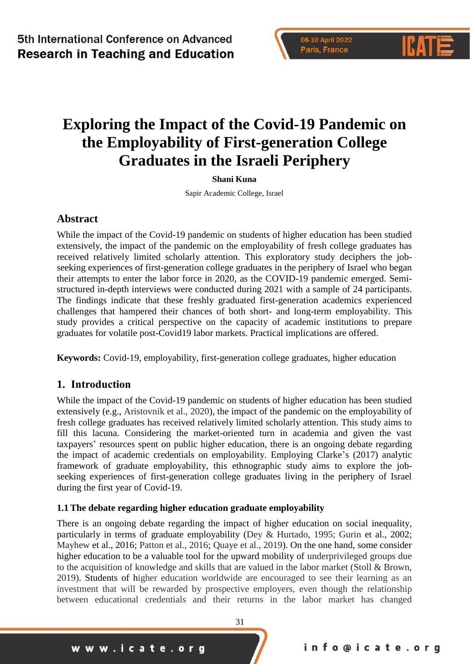# **Exploring the Impact of the Covid-19 Pandemic on the Employability of First-generation College Graduates in the Israeli Periphery**

#### **Shani Kuna**

Sapir Academic College, Israel

### **Abstract**

While the impact of the Covid-19 pandemic on students of higher education has been studied extensively, the impact of the pandemic on the employability of fresh college graduates has received relatively limited scholarly attention. This exploratory study deciphers the jobseeking experiences of first-generation college graduates in the periphery of Israel who began their attempts to enter the labor force in 2020, as the COVID-19 pandemic emerged. Semistructured in-depth interviews were conducted during 2021 with a sample of 24 participants. The findings indicate that these freshly graduated first-generation academics experienced challenges that hampered their chances of both short- and long-term employability. This study provides a critical perspective on the capacity of academic institutions to prepare graduates for volatile post-Covid19 labor markets. Practical implications are offered.

**Keywords:** Covid-19, employability, first-generation college graduates, higher education

### **1. Introduction**

While the impact of the Covid-19 pandemic on students of higher education has been studied extensively (e.g., Aristovnik et al., 2020), the impact of the pandemic on the employability of fresh college graduates has received relatively limited scholarly attention. This study aims to fill this lacuna. Considering the market-oriented turn in academia and given the vast taxpayers' resources spent on public higher education, there is an ongoing debate regarding the impact of academic credentials on employability. Employing Clarke's (2017) analytic framework of graduate employability, this ethnographic study aims to explore the jobseeking experiences of first-generation college graduates living in the periphery of Israel during the first year of Covid-19.

#### **1.1 The debate regarding higher education graduate employability**

There is an ongoing debate regarding the impact of higher education on social inequality, particularly in terms of graduate employability (Dey & Hurtado, 1995; Gurin et al., 2002; Mayhew et al., 2016; Patton et al., 2016; Quaye et al., 2019). On the one hand, some consider higher education to be a valuable tool for the upward mobility of underprivileged groups due to the acquisition of knowledge and skills that are valued in the labor market (Stoll & Brown, 2019). Students of higher education worldwide are encouraged to see their learning as an investment that will be rewarded by prospective employers, even though the relationship between educational credentials and their returns in the labor market has changed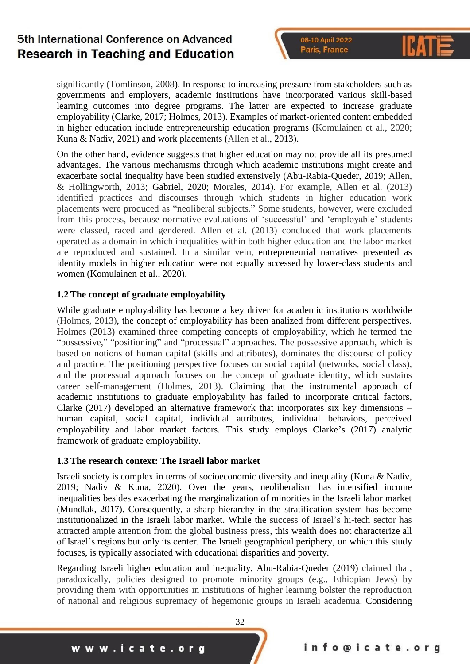significantly (Tomlinson, 2008). In response to increasing pressure from stakeholders such as governments and employers, academic institutions have incorporated various skill-based learning outcomes into degree programs. The latter are expected to increase graduate employability (Clarke, 2017; Holmes, 2013). Examples of market-oriented content embedded in higher education include entrepreneurship education programs (Komulainen et al., 2020; Kuna & Nadiv, 2021) and work placements (Allen et al., 2013).

On the other hand, evidence suggests that higher education may not provide all its presumed advantages. The various mechanisms through which academic institutions might create and exacerbate social inequality have been studied extensively (Abu-Rabia-Queder, 2019; Allen, & Hollingworth, 2013; Gabriel, 2020; Morales, 2014). For example, Allen et al. (2013) identified practices and discourses through which students in higher education work placements were produced as "neoliberal subjects." Some students, however, were excluded from this process, because normative evaluations of 'successful' and 'employable' students were classed, raced and gendered. Allen et al. (2013) concluded that work placements operated as a domain in which inequalities within both higher education and the labor market are reproduced and sustained. In a similar vein, entrepreneurial narratives presented as identity models in higher education were not equally accessed by lower-class students and women (Komulainen et al., 2020).

#### **1.2 The concept of graduate employability**

While graduate employability has become a key driver for academic institutions worldwide (Holmes, 2013), the concept of employability has been analized from different perspectives. Holmes (2013) examined three competing concepts of employability, which he termed the "possessive," "positioning" and "processual" approaches. The possessive approach, which is based on notions of human capital (skills and attributes), dominates the discourse of policy and practice. The positioning perspective focuses on social capital (networks, social class), and the processual approach focuses on the concept of graduate identity, which sustains career self-management (Holmes, 2013). Claiming that the instrumental approach of academic institutions to graduate employability has failed to incorporate critical factors, Clarke (2017) developed an alternative framework that incorporates six key dimensions – human capital, social capital, individual attributes, individual behaviors, perceived employability and labor market factors. This study employs Clarke's (2017) analytic framework of graduate employability.

#### **1.3 The research context: The Israeli labor market**

Israeli society is complex in terms of socioeconomic diversity and inequality (Kuna & Nadiv, 2019; Nadiv & Kuna, 2020). Over the years, neoliberalism has intensified income inequalities besides exacerbating the marginalization of minorities in the Israeli labor market (Mundlak, 2017). Consequently, a sharp hierarchy in the stratification system has become institutionalized in the Israeli labor market. While the success of Israel's hi-tech sector has attracted ample attention from the global business press, this wealth does not characterize all of Israel's regions but only its center. The Israeli geographical periphery, on which this study focuses, is typically associated with educational disparities and poverty.

Regarding Israeli higher education and inequality, Abu-Rabia-Queder (2019) claimed that, paradoxically, policies designed to promote minority groups (e.g., Ethiopian Jews) by providing them with opportunities in institutions of higher learning bolster the reproduction of national and religious supremacy of hegemonic groups in Israeli academia. Considering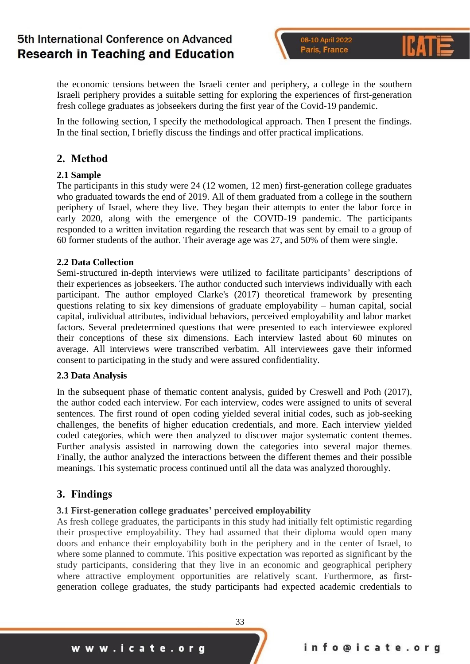08-10 April 2022 Paris, France

the economic tensions between the Israeli center and periphery, a college in the southern Israeli periphery provides a suitable setting for exploring the experiences of first-generation fresh college graduates as jobseekers during the first year of the Covid-19 pandemic.

In the following section, I specify the methodological approach. Then I present the findings. In the final section, I briefly discuss the findings and offer practical implications.

### **2. Method**

#### **2.1 Sample**

The participants in this study were 24 (12 women, 12 men) first-generation college graduates who graduated towards the end of 2019. All of them graduated from a college in the southern periphery of Israel, where they live. They began their attempts to enter the labor force in early 2020, along with the emergence of the COVID-19 pandemic. The participants responded to a written invitation regarding the research that was sent by email to a group of 60 former students of the author. Their average age was 27, and 50% of them were single.

#### **2.2 Data Collection**

Semi-structured in-depth interviews were utilized to facilitate participants' descriptions of their experiences as jobseekers. The author conducted such interviews individually with each participant. The author employed Clarke's (2017) theoretical framework by presenting questions relating to six key dimensions of graduate employability – human capital, social capital, individual attributes, individual behaviors, perceived employability and labor market factors. Several predetermined questions that were presented to each interviewee explored their conceptions of these six dimensions. Each interview lasted about 60 minutes on average. All interviews were transcribed verbatim. All interviewees gave their informed consent to participating in the study and were assured confidentiality.

#### **2.3 Data Analysis**

In the subsequent phase of thematic content analysis, guided by Creswell and Poth (2017), the author coded each interview. For each interview, codes were assigned to units of several sentences. The first round of open coding yielded several initial codes, such as job-seeking challenges, the benefits of higher education credentials, and more. Each interview yielded coded categories, which were then analyzed to discover major systematic content themes. Further analysis assisted in narrowing down the categories into several major themes. Finally, the author analyzed the interactions between the different themes and their possible meanings. This systematic process continued until all the data was analyzed thoroughly.

### **3. Findings**

#### **3.1 First-generation college graduates' perceived employability**

As fresh college graduates, the participants in this study had initially felt optimistic regarding their prospective employability. They had assumed that their diploma would open many doors and enhance their employability both in the periphery and in the center of Israel, to where some planned to commute. This positive expectation was reported as significant by the study participants, considering that they live in an economic and geographical periphery where attractive employment opportunities are relatively scant. Furthermore, as firstgeneration college graduates, the study participants had expected academic credentials to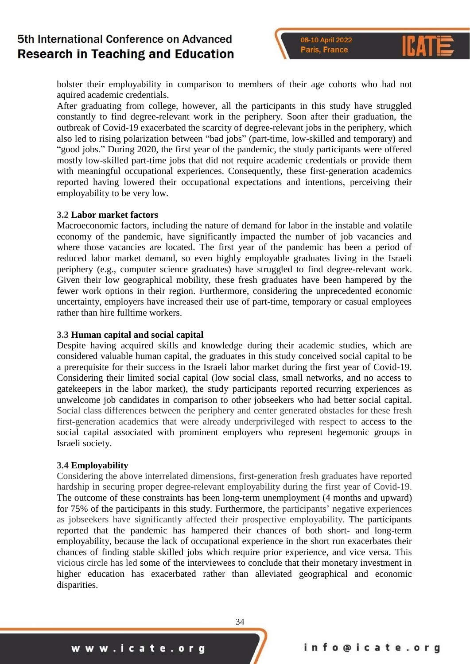bolster their employability in comparison to members of their age cohorts who had not aquired academic credentials.

After graduating from college, however, all the participants in this study have struggled constantly to find degree-relevant work in the periphery. Soon after their graduation, the outbreak of Covid-19 exacerbated the scarcity of degree-relevant jobs in the periphery, which also led to rising polarization between "bad jobs" (part-time, low-skilled and temporary) and "good jobs." During 2020, the first year of the pandemic, the study participants were offered mostly low-skilled part-time jobs that did not require academic credentials or provide them with meaningful occupational experiences. Consequently, these first-generation academics reported having lowered their occupational expectations and intentions, perceiving their employability to be very low.

#### **3.2 Labor market factors**

Macroeconomic factors, including the nature of demand for labor in the instable and volatile economy of the pandemic, have significantly impacted the number of job vacancies and where those vacancies are located. The first year of the pandemic has been a period of reduced labor market demand, so even highly employable graduates living in the Israeli periphery (e.g., computer science graduates) have struggled to find degree-relevant work. Given their low geographical mobility, these fresh graduates have been hampered by the fewer work options in their region. Furthermore, considering the unprecedented economic uncertainty, employers have increased their use of part-time, temporary or casual employees rather than hire fulltime workers.

#### **3.3 Human capital and social capital**

Despite having acquired skills and knowledge during their academic studies, which are considered valuable human capital, the graduates in this study conceived social capital to be a prerequisite for their success in the Israeli labor market during the first year of Covid-19. Considering their limited social capital (low social class, small networks, and no access to gatekeepers in the labor market), the study participants reported recurring experiences as unwelcome job candidates in comparison to other jobseekers who had better social capital. Social class differences between the periphery and center generated obstacles for these fresh first-generation academics that were already underprivileged with respect to access to the social capital associated with prominent employers who represent hegemonic groups in Israeli society.

#### **3.4 Employability**

Considering the above interrelated dimensions, first-generation fresh graduates have reported hardship in securing proper degree-relevant employability during the first year of Covid-19. The outcome of these constraints has been long-term unemployment (4 months and upward) for 75% of the participants in this study. Furthermore, the participants' negative experiences as jobseekers have significantly affected their prospective employability. The participants reported that the pandemic has hampered their chances of both short- and long-term employability, because the lack of occupational experience in the short run exacerbates their chances of finding stable skilled jobs which require prior experience, and vice versa. This vicious circle has led some of the interviewees to conclude that their monetary investment in higher education has exacerbated rather than alleviated geographical and economic disparities.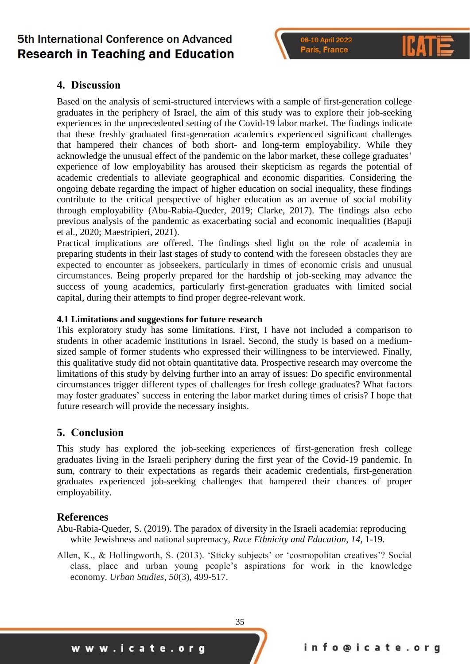#### 08-10 April 2022 Paris, France

## **4. Discussion**

Based on the analysis of semi-structured interviews with a sample of first-generation college graduates in the periphery of Israel, the aim of this study was to explore their job-seeking experiences in the unprecedented setting of the Covid-19 labor market. The findings indicate that these freshly graduated first-generation academics experienced significant challenges that hampered their chances of both short- and long-term employability. While they acknowledge the unusual effect of the pandemic on the labor market, these college graduates' experience of low employability has aroused their skepticism as regards the potential of academic credentials to alleviate geographical and economic disparities. Considering the ongoing debate regarding the impact of higher education on social inequality, these findings contribute to the critical perspective of higher education as an avenue of social mobility through employability (Abu-Rabia-Queder, 2019; Clarke, 2017). The findings also echo previous analysis of the pandemic as exacerbating social and economic inequalities (Bapuji et al., 2020; Maestripieri, 2021).

Practical implications are offered. The findings shed light on the role of academia in preparing students in their last stages of study to contend with the foreseen obstacles they are expected to encounter as jobseekers, particularly in times of economic crisis and unusual circumstances. Being properly prepared for the hardship of job-seeking may advance the success of young academics, particularly first-generation graduates with limited social capital, during their attempts to find proper degree-relevant work.

#### **4.1 Limitations and suggestions for future research**

This exploratory study has some limitations. First, I have not included a comparison to students in other academic institutions in Israel. Second, the study is based on a mediumsized sample of former students who expressed their willingness to be interviewed. Finally, this qualitative study did not obtain quantitative data. Prospective research may overcome the limitations of this study by delving further into an array of issues: Do specific environmental circumstances trigger different types of challenges for fresh college graduates? What factors may foster graduates' success in entering the labor market during times of crisis? I hope that future research will provide the necessary insights.

### **5. Conclusion**

This study has explored the job-seeking experiences of first-generation fresh college graduates living in the Israeli periphery during the first year of the Covid-19 pandemic. In sum, contrary to their expectations as regards their academic credentials, first-generation graduates experienced job-seeking challenges that hampered their chances of proper employability.

### **References**

Abu-Rabia-Queder, S. (2019). The paradox of diversity in the Israeli academia: reproducing white Jewishness and national supremacy, *Race Ethnicity and Education*, *14*, 1-19.

Allen, K., & Hollingworth, S. (2013). 'Sticky subjects' or 'cosmopolitan creatives'? Social class, place and urban young people's aspirations for work in the knowledge economy. *Urban Studies*, *50*(3), 499-517.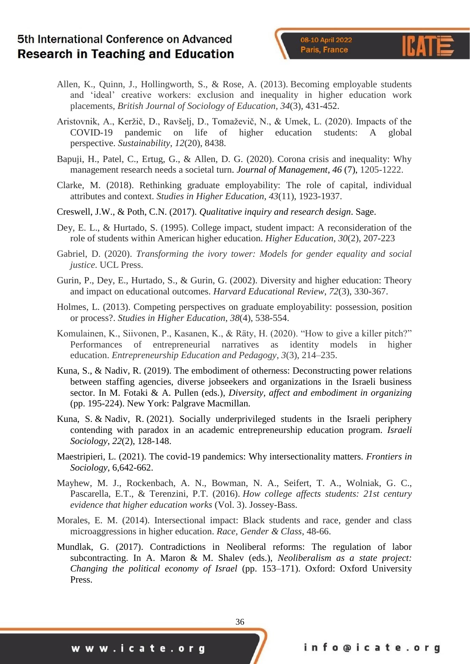- Allen, K., Quinn, J., Hollingworth, S., & Rose, A. (2013). Becoming employable students and 'ideal' creative workers: exclusion and inequality in higher education work placements, *British Journal of Sociology of Education*, *34*(3), 431-452.
- Aristovnik, A., Keržič, D., Ravšelj, D., Tomaževič, N., & Umek, L. (2020). Impacts of the COVID-19 pandemic on life of higher education students: A global perspective. *Sustainability*, *12*(20), 8438.
- Bapuji, H., Patel, C., Ertug, G., & Allen, D. G. (2020). Corona crisis and inequality: Why management research needs a societal turn. *Journal of Management*, *46* (7), 1205-1222.
- Clarke, M. (2018). Rethinking graduate employability: The role of capital, individual attributes and context. *Studies in Higher Education*, *43*(11), 1923-1937.
- Creswell, J.W., & Poth, C.N. (2017). *Qualitative inquiry and research design*. Sage.
- Dey, E. L., & Hurtado, S. (1995). College impact, student impact: A reconsideration of the role of students within American higher education. *Higher Education*, *30*(2), 207-223
- Gabriel, D. (2020). *Transforming the ivory tower: Models for gender equality and social justice*. UCL Press.
- Gurin, P., Dey, E., Hurtado, S., & Gurin, G. (2002). Diversity and higher education: Theory and impact on educational outcomes. *Harvard Educational Review*, *72*(3), 330-367.
- Holmes, L. (2013). Competing perspectives on graduate employability: possession, position or process?. *Studies in Higher Education*, *38*(4), 538-554.
- Komulainen, K., Siivonen, P., Kasanen, K., & Räty, H. (2020). "How to give a killer pitch?" Performances of entrepreneurial narratives as identity models in higher education. *Entrepreneurship Education and Pedagogy*, *3*(3), 214–235.
- Kuna, S., & Nadiv, R. (2019). The embodiment of otherness: Deconstructing power relations between staffing agencies, diverse jobseekers and organizations in the Israeli business sector. In M. Fotaki & A. Pullen (eds.), *Diversity, affect and embodiment in organizing* (pp. 195-224). New York: Palgrave Macmillan.
- Kuna, S. & Nadiv, R. (2021). Socially underprivileged students in the Israeli periphery contending with paradox in an academic entrepreneurship education program. *Israeli Sociology*, *22*(2), 128-148.
- Maestripieri, L. (2021). The covid-19 pandemics: Why intersectionality matters. *Frontiers in Sociology*, 6,642-662.
- Mayhew, M. J., Rockenbach, A. N., Bowman, N. A., Seifert, T. A., Wolniak, G. C., Pascarella, E.T., & Terenzini, P.T. (2016). *How college affects students: 21st century evidence that higher education works* (Vol. 3). Jossey-Bass.
- Morales, E. M. (2014). Intersectional impact: Black students and race, gender and class microaggressions in higher education. *Race, Gender & Class*, 48-66.
- Mundlak, G. (2017). Contradictions in Neoliberal reforms: The regulation of labor subcontracting. In A. Maron & M. Shalev (eds.), *Neoliberalism as a state project: Changing the political economy of Israel* (pp. 153–171). Oxford: Oxford University Press.